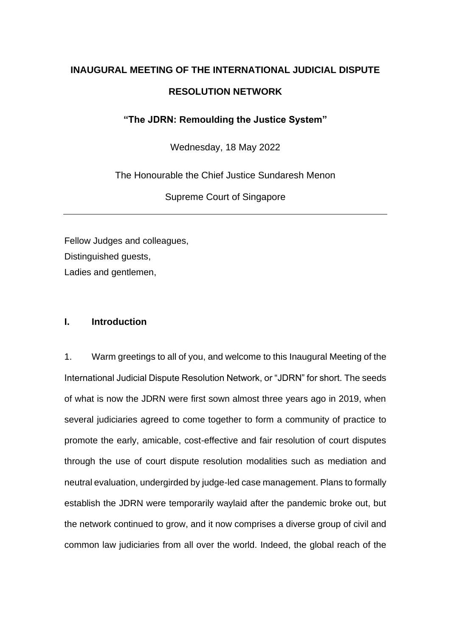# **INAUGURAL MEETING OF THE INTERNATIONAL JUDICIAL DISPUTE RESOLUTION NETWORK**

**"The JDRN: Remoulding the Justice System"**

Wednesday, 18 May 2022

The Honourable the Chief Justice Sundaresh Menon

Supreme Court of Singapore

Fellow Judges and colleagues, Distinguished guests, Ladies and gentlemen,

## **I. Introduction**

1. Warm greetings to all of you, and welcome to this Inaugural Meeting of the International Judicial Dispute Resolution Network, or "JDRN" for short. The seeds of what is now the JDRN were first sown almost three years ago in 2019, when several judiciaries agreed to come together to form a community of practice to promote the early, amicable, cost-effective and fair resolution of court disputes through the use of court dispute resolution modalities such as mediation and neutral evaluation, undergirded by judge-led case management. Plans to formally establish the JDRN were temporarily waylaid after the pandemic broke out, but the network continued to grow, and it now comprises a diverse group of civil and common law judiciaries from all over the world. Indeed, the global reach of the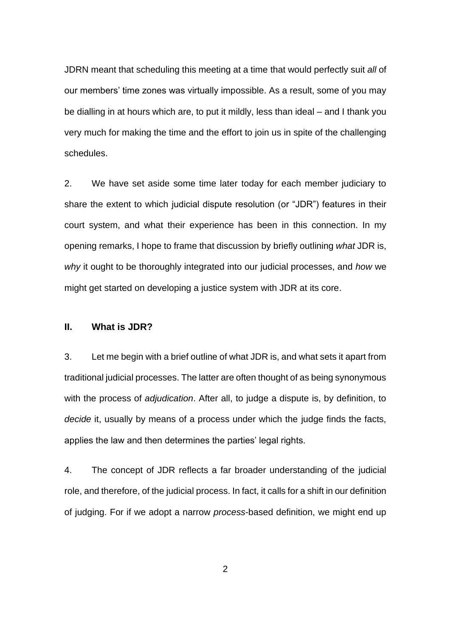JDRN meant that scheduling this meeting at a time that would perfectly suit *all* of our members' time zones was virtually impossible. As a result, some of you may be dialling in at hours which are, to put it mildly, less than ideal – and I thank you very much for making the time and the effort to join us in spite of the challenging schedules.

2. We have set aside some time later today for each member judiciary to share the extent to which judicial dispute resolution (or "JDR") features in their court system, and what their experience has been in this connection. In my opening remarks, I hope to frame that discussion by briefly outlining *what* JDR is, *why* it ought to be thoroughly integrated into our judicial processes, and *how* we might get started on developing a justice system with JDR at its core.

#### **II. What is JDR?**

3. Let me begin with a brief outline of what JDR is, and what sets it apart from traditional judicial processes. The latter are often thought of as being synonymous with the process of *adjudication*. After all, to judge a dispute is, by definition, to *decide* it, usually by means of a process under which the judge finds the facts, applies the law and then determines the parties' legal rights.

4. The concept of JDR reflects a far broader understanding of the judicial role, and therefore, of the judicial process. In fact, it calls for a shift in our definition of judging. For if we adopt a narrow *process*-based definition, we might end up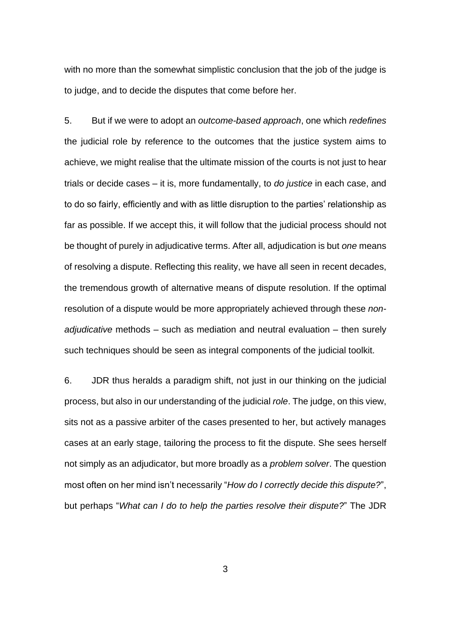with no more than the somewhat simplistic conclusion that the job of the judge is to judge, and to decide the disputes that come before her.

5. But if we were to adopt an *outcome-based approach*, one which *redefines* the judicial role by reference to the outcomes that the justice system aims to achieve, we might realise that the ultimate mission of the courts is not just to hear trials or decide cases – it is, more fundamentally, to *do justice* in each case, and to do so fairly, efficiently and with as little disruption to the parties' relationship as far as possible. If we accept this, it will follow that the judicial process should not be thought of purely in adjudicative terms. After all, adjudication is but *one* means of resolving a dispute. Reflecting this reality, we have all seen in recent decades, the tremendous growth of alternative means of dispute resolution. If the optimal resolution of a dispute would be more appropriately achieved through these *nonadjudicative* methods – such as mediation and neutral evaluation – then surely such techniques should be seen as integral components of the judicial toolkit.

6. JDR thus heralds a paradigm shift, not just in our thinking on the judicial process, but also in our understanding of the judicial *role*. The judge, on this view, sits not as a passive arbiter of the cases presented to her, but actively manages cases at an early stage, tailoring the process to fit the dispute. She sees herself not simply as an adjudicator, but more broadly as a *problem solver*. The question most often on her mind isn't necessarily "*How do I correctly decide this dispute?*", but perhaps "*What can I do to help the parties resolve their dispute?*" The JDR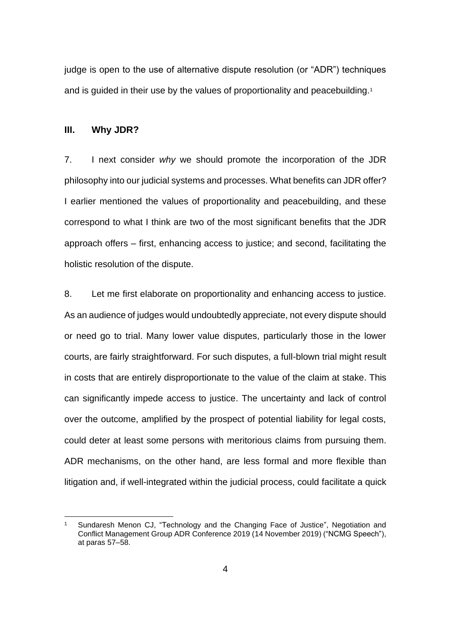judge is open to the use of alternative dispute resolution (or "ADR") techniques and is guided in their use by the values of proportionality and peacebuilding.<sup>1</sup>

#### **III. Why JDR?**

7. I next consider *why* we should promote the incorporation of the JDR philosophy into our judicial systems and processes. What benefits can JDR offer? I earlier mentioned the values of proportionality and peacebuilding, and these correspond to what I think are two of the most significant benefits that the JDR approach offers – first, enhancing access to justice; and second, facilitating the holistic resolution of the dispute.

8. Let me first elaborate on proportionality and enhancing access to justice. As an audience of judges would undoubtedly appreciate, not every dispute should or need go to trial. Many lower value disputes, particularly those in the lower courts, are fairly straightforward. For such disputes, a full-blown trial might result in costs that are entirely disproportionate to the value of the claim at stake. This can significantly impede access to justice. The uncertainty and lack of control over the outcome, amplified by the prospect of potential liability for legal costs, could deter at least some persons with meritorious claims from pursuing them. ADR mechanisms, on the other hand, are less formal and more flexible than litigation and, if well-integrated within the judicial process, could facilitate a quick

Sundaresh Menon CJ, "Technology and the Changing Face of Justice", Negotiation and Conflict Management Group ADR Conference 2019 (14 November 2019) ("NCMG Speech"), at paras 57–58.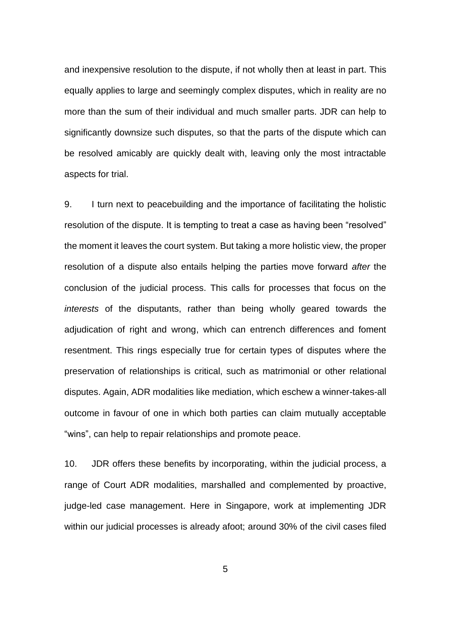and inexpensive resolution to the dispute, if not wholly then at least in part. This equally applies to large and seemingly complex disputes, which in reality are no more than the sum of their individual and much smaller parts. JDR can help to significantly downsize such disputes, so that the parts of the dispute which can be resolved amicably are quickly dealt with, leaving only the most intractable aspects for trial.

9. I turn next to peacebuilding and the importance of facilitating the holistic resolution of the dispute. It is tempting to treat a case as having been "resolved" the moment it leaves the court system. But taking a more holistic view, the proper resolution of a dispute also entails helping the parties move forward *after* the conclusion of the judicial process. This calls for processes that focus on the *interests* of the disputants, rather than being wholly geared towards the adjudication of right and wrong, which can entrench differences and foment resentment. This rings especially true for certain types of disputes where the preservation of relationships is critical, such as matrimonial or other relational disputes. Again, ADR modalities like mediation, which eschew a winner-takes-all outcome in favour of one in which both parties can claim mutually acceptable "wins", can help to repair relationships and promote peace.

10. JDR offers these benefits by incorporating, within the judicial process, a range of Court ADR modalities, marshalled and complemented by proactive, judge-led case management. Here in Singapore, work at implementing JDR within our judicial processes is already afoot; around 30% of the civil cases filed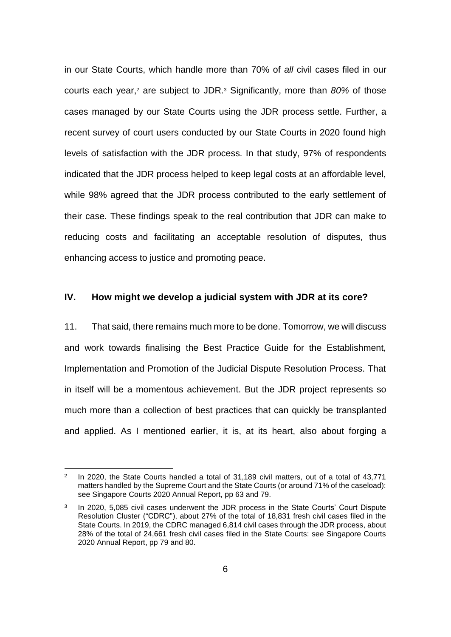in our State Courts, which handle more than 70% of *all* civil cases filed in our courts each year,<sup>2</sup> are subject to JDR.<sup>3</sup> Significantly, more than 80% of those cases managed by our State Courts using the JDR process settle. Further, a recent survey of court users conducted by our State Courts in 2020 found high levels of satisfaction with the JDR process. In that study, 97% of respondents indicated that the JDR process helped to keep legal costs at an affordable level, while 98% agreed that the JDR process contributed to the early settlement of their case. These findings speak to the real contribution that JDR can make to reducing costs and facilitating an acceptable resolution of disputes, thus enhancing access to justice and promoting peace.

## **IV. How might we develop a judicial system with JDR at its core?**

11. That said, there remains much more to be done. Tomorrow, we will discuss and work towards finalising the Best Practice Guide for the Establishment, Implementation and Promotion of the Judicial Dispute Resolution Process. That in itself will be a momentous achievement. But the JDR project represents so much more than a collection of best practices that can quickly be transplanted and applied. As I mentioned earlier, it is, at its heart, also about forging a

<sup>2</sup> In 2020, the State Courts handled a total of 31,189 civil matters, out of a total of 43,771 matters handled by the Supreme Court and the State Courts (or around 71% of the caseload): see Singapore Courts 2020 Annual Report, pp 63 and 79.

<sup>3</sup> In 2020, 5,085 civil cases underwent the JDR process in the State Courts' Court Dispute Resolution Cluster ("CDRC"), about 27% of the total of 18,831 fresh civil cases filed in the State Courts. In 2019, the CDRC managed 6,814 civil cases through the JDR process, about 28% of the total of 24,661 fresh civil cases filed in the State Courts: see Singapore Courts 2020 Annual Report, pp 79 and 80.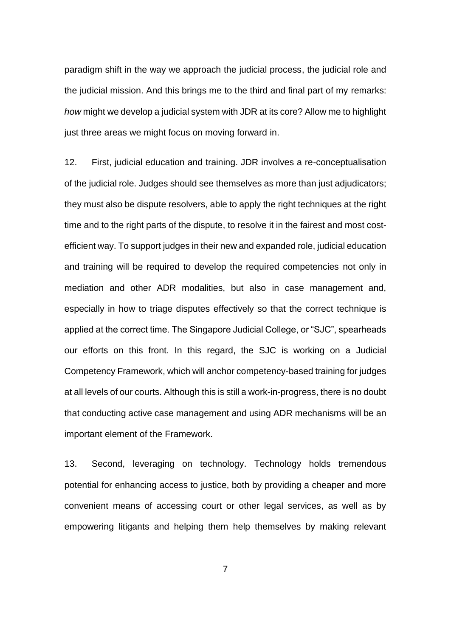paradigm shift in the way we approach the judicial process, the judicial role and the judicial mission. And this brings me to the third and final part of my remarks: *how* might we develop a judicial system with JDR at its core? Allow me to highlight just three areas we might focus on moving forward in.

12. First, judicial education and training. JDR involves a re-conceptualisation of the judicial role. Judges should see themselves as more than just adjudicators; they must also be dispute resolvers, able to apply the right techniques at the right time and to the right parts of the dispute, to resolve it in the fairest and most costefficient way. To support judges in their new and expanded role, judicial education and training will be required to develop the required competencies not only in mediation and other ADR modalities, but also in case management and, especially in how to triage disputes effectively so that the correct technique is applied at the correct time. The Singapore Judicial College, or "SJC", spearheads our efforts on this front. In this regard, the SJC is working on a Judicial Competency Framework, which will anchor competency-based training for judges at all levels of our courts. Although this is still a work-in-progress, there is no doubt that conducting active case management and using ADR mechanisms will be an important element of the Framework.

13. Second, leveraging on technology. Technology holds tremendous potential for enhancing access to justice, both by providing a cheaper and more convenient means of accessing court or other legal services, as well as by empowering litigants and helping them help themselves by making relevant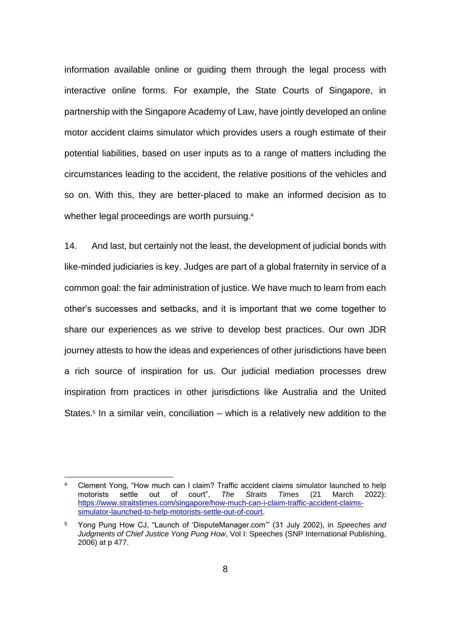information available online or guiding them through the legal process with interactive online forms. For example, the State Courts of Singapore, in partnership with the Singapore Academy of Law, have jointly developed an online motor accident claims simulator which provides users a rough estimate of their potential liabilities, based on user inputs as to a range of matters including the circumstances leading to the accident, the relative positions of the vehicles and so on. With this, they are better-placed to make an informed decision as to whether legal proceedings are worth pursuing. 4

14. And last, but certainly not the least, the development of judicial bonds with like-minded judiciaries is key. Judges are part of a global fraternity in service of a common goal: the fair administration of justice. We have much to learn from each other's successes and setbacks, and it is important that we come together to share our experiences as we strive to develop best practices. Our own JDR journey attests to how the ideas and experiences of other jurisdictions have been a rich source of inspiration for us. Our judicial mediation processes drew inspiration from practices in other jurisdictions like Australia and the United States.<sup>5</sup> In a similar vein, conciliation – which is a relatively new addition to the

Clement Yong, "How much can I claim? Traffic accident claims simulator launched to help<br>motorists settle out of court", The Straits Times (21 March 2022): motorists settle out of court", *The Straits Times* (21 March 2022): [https://www.straitstimes.com/singapore/how-much-can-i-claim-traffic-accident-claims](https://www.straitstimes.com/singapore/how-much-can-i-claim-traffic-accident-claims-simulator-launched-to-help-motorists-settle-out-of-court)[simulator-launched-to-help-motorists-settle-out-of-court.](https://www.straitstimes.com/singapore/how-much-can-i-claim-traffic-accident-claims-simulator-launched-to-help-motorists-settle-out-of-court)

<sup>5</sup> Yong Pung How CJ, "Launch of 'DisputeManager.com'" (31 July 2002), in *Speeches and Judgments of Chief Justice Yong Pung How*, Vol I: Speeches (SNP International Publishing, 2006) at p 477.